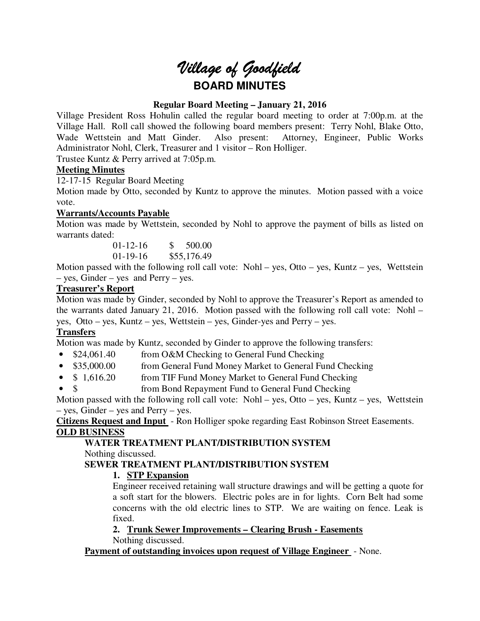# *Village of Goodfield* **BOARD MINUTES**

# **Regular Board Meeting – January 21, 2016**

Village President Ross Hohulin called the regular board meeting to order at 7:00p.m. at the Village Hall. Roll call showed the following board members present: Terry Nohl, Blake Otto, Wade Wettstein and Matt Ginder. Also present: Attorney, Engineer, Public Works Administrator Nohl, Clerk, Treasurer and 1 visitor – Ron Holliger.

Trustee Kuntz & Perry arrived at 7:05p.m.

# **Meeting Minutes**

12-17-15 Regular Board Meeting

Motion made by Otto, seconded by Kuntz to approve the minutes. Motion passed with a voice vote.

## **Warrants/Accounts Payable**

Motion was made by Wettstein, seconded by Nohl to approve the payment of bills as listed on warrants dated:

> 01-12-16 \$ 500.00 01-19-16 \$55,176.49

Motion passed with the following roll call vote: Nohl – yes, Otto – yes, Kuntz – yes, Wettstein – yes, Ginder – yes and Perry – yes.

## **Treasurer's Report**

Motion was made by Ginder, seconded by Nohl to approve the Treasurer's Report as amended to the warrants dated January 21, 2016. Motion passed with the following roll call vote: Nohl – yes, Otto – yes, Kuntz – yes, Wettstein – yes, Ginder-yes and Perry – yes.

# **Transfers**

Motion was made by Kuntz, seconded by Ginder to approve the following transfers:

- \$24,061.40 from O&M Checking to General Fund Checking
- \$35,000.00 from General Fund Money Market to General Fund Checking
- \$ 1,616.20 from TIF Fund Money Market to General Fund Checking
- \$ from Bond Repayment Fund to General Fund Checking

Motion passed with the following roll call vote: Nohl – yes, Otto – yes, Kuntz – yes, Wettstein – yes, Ginder – yes and Perry – yes.

**Citizens Request and Input** - Ron Holliger spoke regarding East Robinson Street Easements. **OLD BUSINESS** 

# **WATER TREATMENT PLANT/DISTRIBUTION SYSTEM**

Nothing discussed.

# **SEWER TREATMENT PLANT/DISTRIBUTION SYSTEM**

# **1. STP Expansion**

Engineer received retaining wall structure drawings and will be getting a quote for a soft start for the blowers. Electric poles are in for lights. Corn Belt had some concerns with the old electric lines to STP. We are waiting on fence. Leak is fixed.

**2. Trunk Sewer Improvements – Clearing Brush - Easements**  Nothing discussed.

**Payment of outstanding invoices upon request of Village Engineer** - None.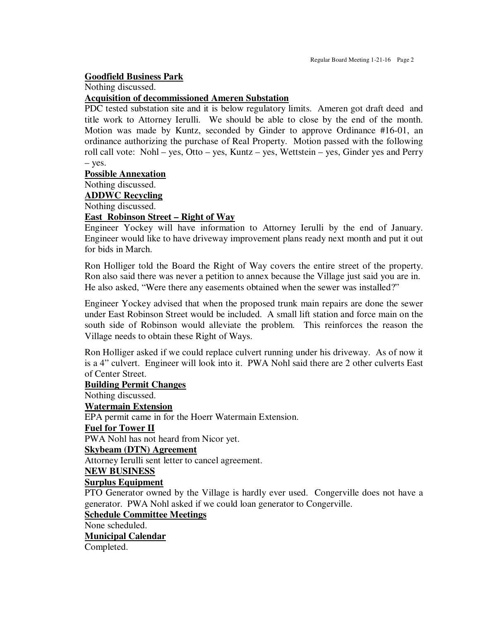## **Goodfield Business Park**

Nothing discussed.

## **Acquisition of decommissioned Ameren Substation**

PDC tested substation site and it is below regulatory limits. Ameren got draft deed and title work to Attorney Ierulli. We should be able to close by the end of the month. Motion was made by Kuntz, seconded by Ginder to approve Ordinance #16-01, an ordinance authorizing the purchase of Real Property. Motion passed with the following roll call vote: Nohl – yes, Otto – yes, Kuntz – yes, Wettstein – yes, Ginder yes and Perry – yes.

#### **Possible Annexation**

Nothing discussed.

**ADDWC Recycling** 

Nothing discussed.

## **East Robinson Street – Right of Way**

Engineer Yockey will have information to Attorney Ierulli by the end of January. Engineer would like to have driveway improvement plans ready next month and put it out for bids in March.

Ron Holliger told the Board the Right of Way covers the entire street of the property. Ron also said there was never a petition to annex because the Village just said you are in. He also asked, "Were there any easements obtained when the sewer was installed?"

Engineer Yockey advised that when the proposed trunk main repairs are done the sewer under East Robinson Street would be included. A small lift station and force main on the south side of Robinson would alleviate the problem. This reinforces the reason the Village needs to obtain these Right of Ways.

Ron Holliger asked if we could replace culvert running under his driveway. As of now it is a 4" culvert. Engineer will look into it. PWA Nohl said there are 2 other culverts East of Center Street.

# **Building Permit Changes**  Nothing discussed. **Watermain Extension**  EPA permit came in for the Hoerr Watermain Extension. **Fuel for Tower II**  PWA Nohl has not heard from Nicor yet. **Skybeam (DTN) Agreement**  Attorney Ierulli sent letter to cancel agreement. **NEW BUSINESS Surplus Equipment**  PTO Generator owned by the Village is hardly ever used. Congerville does not have a generator. PWA Nohl asked if we could loan generator to Congerville. **Schedule Committee Meetings**  None scheduled. **Municipal Calendar**

Completed.